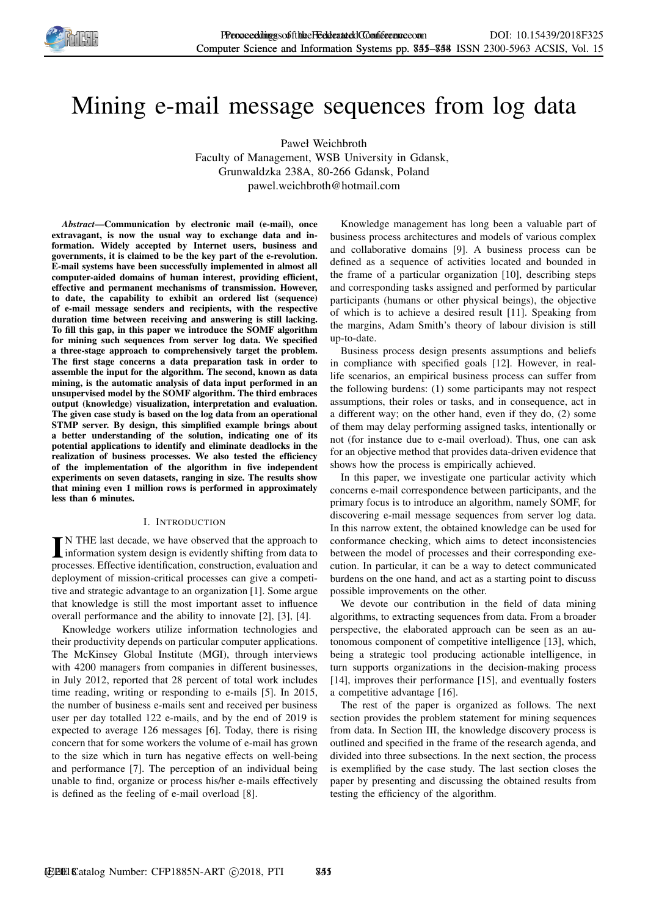

# Mining e-mail message sequences from log data

Paweł Weichbroth

Faculty of Management, WSB University in Gdansk, Grunwaldzka 238A, 80-266 Gdansk, Poland pawel.weichbroth@hotmail.com

*Abstract*—Communication by electronic mail (e-mail), once extravagant, is now the usual way to exchange data and information. Widely accepted by Internet users, business and governments, it is claimed to be the key part of the e-revolution. E-mail systems have been successfully implemented in almost all computer-aided domains of human interest, providing efficient, effective and permanent mechanisms of transmission. However, to date, the capability to exhibit an ordered list (sequence) of e-mail message senders and recipients, with the respective duration time between receiving and answering is still lacking. To fill this gap, in this paper we introduce the SOMF algorithm for mining such sequences from server log data. We specified a three-stage approach to comprehensively target the problem. The first stage concerns a data preparation task in order to assemble the input for the algorithm. The second, known as data mining, is the automatic analysis of data input performed in an unsupervised model by the SOMF algorithm. The third embraces output (knowledge) visualization, interpretation and evaluation. The given case study is based on the log data from an operational STMP server. By design, this simplified example brings about a better understanding of the solution, indicating one of its potential applications to identify and eliminate deadlocks in the realization of business processes. We also tested the efficiency of the implementation of the algorithm in five independent experiments on seven datasets, ranging in size. The results show that mining even 1 million rows is performed in approximately less than 6 minutes.

## I. INTRODUCTION

IN THE last decade, we have observed that the approach to information system design is evidently shifting from data to N THE last decade, we have observed that the approach to processes. Effective identification, construction, evaluation and deployment of mission-critical processes can give a competitive and strategic advantage to an organization [1]. Some argue that knowledge is still the most important asset to influence overall performance and the ability to innovate [2], [3], [4].

Knowledge workers utilize information technologies and their productivity depends on particular computer applications. The McKinsey Global Institute (MGI), through interviews with 4200 managers from companies in different businesses, in July 2012, reported that 28 percent of total work includes time reading, writing or responding to e-mails [5]. In 2015, the number of business e-mails sent and received per business user per day totalled 122 e-mails, and by the end of 2019 is expected to average 126 messages [6]. Today, there is rising concern that for some workers the volume of e-mail has grown to the size which in turn has negative effects on well-being and performance [7]. The perception of an individual being unable to find, organize or process his/her e-mails effectively is defined as the feeling of e-mail overload [8].

Knowledge management has long been a valuable part of business process architectures and models of various complex and collaborative domains [9]. A business process can be defined as a sequence of activities located and bounded in the frame of a particular organization [10], describing steps and corresponding tasks assigned and performed by particular participants (humans or other physical beings), the objective of which is to achieve a desired result [11]. Speaking from the margins, Adam Smith's theory of labour division is still up-to-date.

Business process design presents assumptions and beliefs in compliance with specified goals [12]. However, in reallife scenarios, an empirical business process can suffer from the following burdens: (1) some participants may not respect assumptions, their roles or tasks, and in consequence, act in a different way; on the other hand, even if they do, (2) some of them may delay performing assigned tasks, intentionally or not (for instance due to e-mail overload). Thus, one can ask for an objective method that provides data-driven evidence that shows how the process is empirically achieved.

In this paper, we investigate one particular activity which concerns e-mail correspondence between participants, and the primary focus is to introduce an algorithm, namely SOMF, for discovering e-mail message sequences from server log data. In this narrow extent, the obtained knowledge can be used for conformance checking, which aims to detect inconsistencies between the model of processes and their corresponding execution. In particular, it can be a way to detect communicated burdens on the one hand, and act as a starting point to discuss possible improvements on the other.

We devote our contribution in the field of data mining algorithms, to extracting sequences from data. From a broader perspective, the elaborated approach can be seen as an autonomous component of competitive intelligence [13], which, being a strategic tool producing actionable intelligence, in turn supports organizations in the decision-making process [14], improves their performance [15], and eventually fosters a competitive advantage [16].

The rest of the paper is organized as follows. The next section provides the problem statement for mining sequences from data. In Section III, the knowledge discovery process is outlined and specified in the frame of the research agenda, and divided into three subsections. In the next section, the process is exemplified by the case study. The last section closes the paper by presenting and discussing the obtained results from testing the efficiency of the algorithm.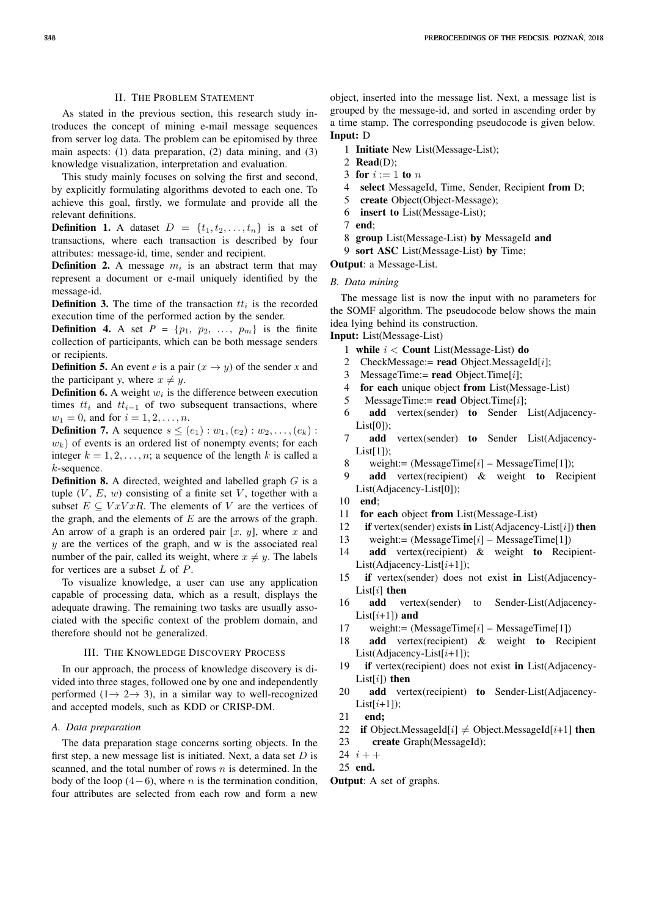## II. THE PROBLEM STATEMENT

As stated in the previous section, this research study introduces the concept of mining e-mail message sequences from server log data. The problem can be epitomised by three main aspects: (1) data preparation, (2) data mining, and (3) knowledge visualization, interpretation and evaluation.

This study mainly focuses on solving the first and second, by explicitly formulating algorithms devoted to each one. To achieve this goal, firstly, we formulate and provide all the relevant definitions.

**Definition 1.** A dataset  $D = \{t_1, t_2, \ldots, t_n\}$  is a set of transactions, where each transaction is described by four attributes: message-id, time, sender and recipient.

**Definition 2.** A message  $m_i$  is an abstract term that may represent a document or e-mail uniquely identified by the message-id.

**Definition 3.** The time of the transaction  $tt_i$  is the recorded execution time of the performed action by the sender.

**Definition 4.** A set  $P = \{p_1, p_2, ..., p_m\}$  is the finite collection of participants, which can be both message senders or recipients.

**Definition 5.** An event *e* is a pair  $(x \rightarrow y)$  of the sender *x* and the participant *y*, where  $x \neq y$ .

**Definition 6.** A weight  $w_i$  is the difference between execution times  $tt_i$  and  $tt_{i-1}$  of two subsequent transactions, where  $w_1 = 0$ , and for  $i = 1, 2, ..., n$ .

**Definition 7.** A sequence  $s \leq (e_1) : w_1, (e_2) : w_2, ..., (e_k)$ :  $w<sub>k</sub>$ ) of events is an ordered list of nonempty events; for each integer  $k = 1, 2, \ldots, n$ ; a sequence of the length k is called a k-sequence.

**Definition 8.** A directed, weighted and labelled graph  $G$  is a tuple  $(V, E, w)$  consisting of a finite set V, together with a subset  $E \subseteq VxVxR$ . The elements of V are the vertices of the graph, and the elements of  $E$  are the arrows of the graph. An arrow of a graph is an ordered pair  $[x, y]$ , where x and  $y$  are the vertices of the graph, and w is the associated real number of the pair, called its weight, where  $x \neq y$ . The labels for vertices are a subset L of P.

To visualize knowledge, a user can use any application capable of processing data, which as a result, displays the adequate drawing. The remaining two tasks are usually associated with the specific context of the problem domain, and therefore should not be generalized.

## III. THE KNOWLEDGE DISCOVERY PROCESS

In our approach, the process of knowledge discovery is divided into three stages, followed one by one and independently performed  $(1 \rightarrow 2 \rightarrow 3)$ , in a similar way to well-recognized and accepted models, such as KDD or CRISP-DM.

#### *A. Data preparation*

The data preparation stage concerns sorting objects. In the first step, a new message list is initiated. Next, a data set  $D$  is scanned, and the total number of rows  $n$  is determined. In the body of the loop  $(4-6)$ , where *n* is the termination condition, four attributes are selected from each row and form a new

object, inserted into the message list. Next, a message list is grouped by the message-id, and sorted in ascending order by a time stamp. The corresponding pseudocode is given below. Input: D

- 1 Initiate New List(Message-List);
- 2 Read(D);
- 3 for  $i := 1$  to n
- 4 select MessageId, Time, Sender, Recipient from D;<br>5 create Object(Object-Message):
- create Object(Object-Message);
- 6 insert to List(Message-List);
- 7 end;
- 8 group List(Message-List) by MessageId and
- 9 sort ASC List(Message-List) by Time;
- Output: a Message-List.

### *B. Data mining*

The message list is now the input with no parameters for the SOMF algorithm. The pseudocode below shows the main idea lying behind its construction.

- Input: List(Message-List)
	- 1 while  $i <$  Count List(Message-List) do
	- 2 CheckMessage:= read Object.MessageId[i];
	- 3 MessageTime:= read Object.Time[i];
	- 4 for each unique object from List(Message-List)
	- 5 MessageTime:= read Object.Time[i];
	- 6 add vertex(sender) to Sender List(Adjacency-List[0]);
	- 7 add vertex(sender) to Sender List(Adjacency- $List[1]$ :
	- 8 weight:=  $(M \text{essageTime}[i] M \text{essageTime}[1]);$
	- add vertex(recipient) & weight to Recipient List(Adjacency-List[0]);
	- 10 end;
	- 11 for each object from List(Message-List)
	- 12 if vertex(sender) exists in List(Adjacency-List[i]) then
	- 13 weight:= (MessageTime[i] MessageTime[1])
	- 14 add vertex(recipient) & weight to Recipient- $List(Adjacency-List[i+1]);$
	- 15 if vertex(sender) does not exist in List(Adjacency-List $[i]$  then
	- 16 add vertex(sender) to Sender-List(Adjacency-List $[i+1]$ ) and
	- 17 weight:=  $(M \text{essageTime}[i] M \text{essageTime}[1])$
	- 18 add vertex(recipient) & weight to Recipient  $List(Adiacency-List[i+1]):$
	- 19 if vertex(recipient) does not exist in List(Adjacency-List[ $i$ ]) then
	- 20 add vertex(recipient) to Sender-List(Adjacency-List $[i+1]$ ;
	- 21 end;
- 22 if Object.MessageId[i]  $\neq$  Object.MessageId[i+1] then
- 23 create Graph(MessageId);
- 24  $i + +$
- 25 end.
- Output: A set of graphs.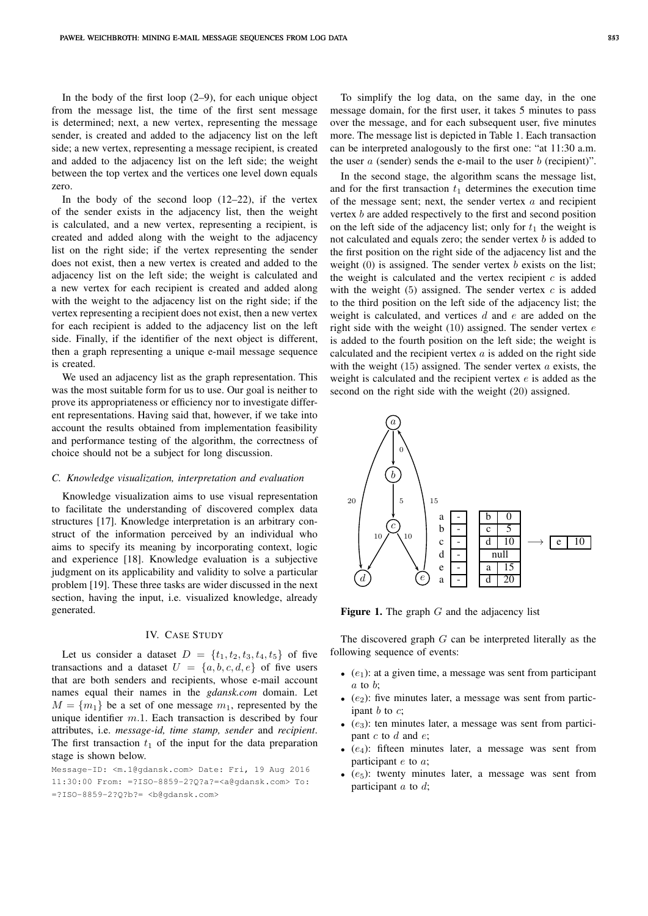In the body of the first loop  $(2-9)$ , for each unique object from the message list, the time of the first sent message is determined; next, a new vertex, representing the message sender, is created and added to the adjacency list on the left side; a new vertex, representing a message recipient, is created and added to the adjacency list on the left side; the weight between the top vertex and the vertices one level down equals zero.

In the body of the second loop  $(12-22)$ , if the vertex of the sender exists in the adjacency list, then the weight is calculated, and a new vertex, representing a recipient, is created and added along with the weight to the adjacency list on the right side; if the vertex representing the sender does not exist, then a new vertex is created and added to the adjacency list on the left side; the weight is calculated and a new vertex for each recipient is created and added along with the weight to the adjacency list on the right side; if the vertex representing a recipient does not exist, then a new vertex for each recipient is added to the adjacency list on the left side. Finally, if the identifier of the next object is different, then a graph representing a unique e-mail message sequence is created.

We used an adjacency list as the graph representation. This was the most suitable form for us to use. Our goal is neither to prove its appropriateness or efficiency nor to investigate different representations. Having said that, however, if we take into account the results obtained from implementation feasibility and performance testing of the algorithm, the correctness of choice should not be a subject for long discussion.

#### *C. Knowledge visualization, interpretation and evaluation*

Knowledge visualization aims to use visual representation to facilitate the understanding of discovered complex data structures [17]. Knowledge interpretation is an arbitrary construct of the information perceived by an individual who aims to specify its meaning by incorporating context, logic and experience [18]. Knowledge evaluation is a subjective judgment on its applicability and validity to solve a particular problem [19]. These three tasks are wider discussed in the next section, having the input, i.e. visualized knowledge, already generated.

## IV. CASE STUDY

Let us consider a dataset  $D = \{t_1, t_2, t_3, t_4, t_5\}$  of five transactions and a dataset  $U = \{a, b, c, d, e\}$  of five users that are both senders and recipients, whose e-mail account names equal their names in the *gdansk.com* domain. Let  $M = \{m_1\}$  be a set of one message  $m_1$ , represented by the unique identifier  $m.1$ . Each transaction is described by four attributes, i.e. *message-id, time stamp, sender* and *recipient*. The first transaction  $t_1$  of the input for the data preparation stage is shown below.

Message-ID: <m.1@gdansk.com> Date: Fri, 19 Aug 2016 11:30:00 From: =?ISO-8859-2?Q?a?=<a@gdansk.com> To: =?ISO-8859-2?Q?b?= <b@gdansk.com>

To simplify the log data, on the same day, in the one message domain, for the first user, it takes 5 minutes to pass over the message, and for each subsequent user, five minutes more. The message list is depicted in Table 1. Each transaction can be interpreted analogously to the first one: "at 11:30 a.m. the user  $a$  (sender) sends the e-mail to the user  $b$  (recipient)".

In the second stage, the algorithm scans the message list, and for the first transaction  $t_1$  determines the execution time of the message sent; next, the sender vertex  $a$  and recipient vertex b are added respectively to the first and second position on the left side of the adjacency list; only for  $t_1$  the weight is not calculated and equals zero; the sender vertex  $b$  is added to the first position on the right side of the adjacency list and the weight  $(0)$  is assigned. The sender vertex b exists on the list; the weight is calculated and the vertex recipient  $c$  is added with the weight  $(5)$  assigned. The sender vertex  $c$  is added to the third position on the left side of the adjacency list; the weight is calculated, and vertices  $d$  and  $e$  are added on the right side with the weight  $(10)$  assigned. The sender vertex  $e$ is added to the fourth position on the left side; the weight is calculated and the recipient vertex  $a$  is added on the right side with the weight  $(15)$  assigned. The sender vertex  $\alpha$  exists, the weight is calculated and the recipient vertex  $e$  is added as the second on the right side with the weight (20) assigned.



Figure 1. The graph  $G$  and the adjacency list

The discovered graph  $G$  can be interpreted literally as the following sequence of events:

- $\bullet$  (e<sub>1</sub>): at a given time, a message was sent from participant  $a$  to  $b$ :
- $(e_2)$ : five minutes later, a message was sent from participant  $b$  to  $c$ ;
- $(e_3)$ : ten minutes later, a message was sent from participant  $c$  to  $d$  and  $e$ ;
- $\bullet$  (e<sub>4</sub>): fifteen minutes later, a message was sent from participant  $e$  to  $a$ ;
- $(e_5)$ : twenty minutes later, a message was sent from participant  $a$  to  $d$ ;